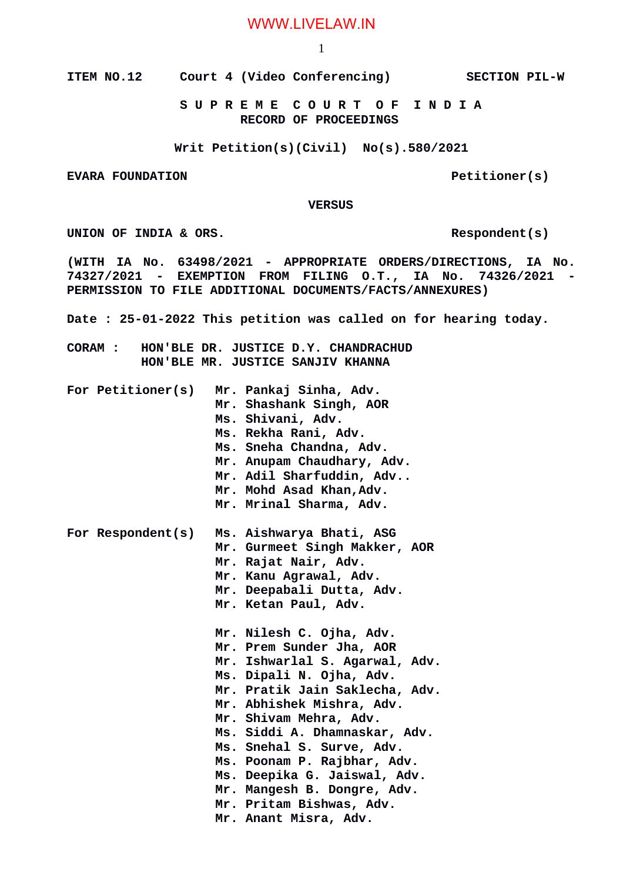## WWW.LIVELAW.IN

1

**ITEM NO.12 Court 4 (Video Conferencing) SECTION PIL-W**

 **S U P R E M E C O U R T O F I N D I A RECORD OF PROCEEDINGS**

**Writ Petition(s)(Civil) No(s).580/2021**

**EVARA FOUNDATION Petitioner(s)** 

 **VERSUS**

UNION OF INDIA & ORS.

**(WITH IA No. 63498/2021 - APPROPRIATE ORDERS/DIRECTIONS, IA No. 74327/2021 - EXEMPTION FROM FILING O.T., IA No. 74326/2021 - PERMISSION TO FILE ADDITIONAL DOCUMENTS/FACTS/ANNEXURES)**

**Date : 25-01-2022 This petition was called on for hearing today.**

**CORAM : HON'BLE DR. JUSTICE D.Y. CHANDRACHUD HON'BLE MR. JUSTICE SANJIV KHANNA**

| For Petitioner(s) | Mr. Pankaj Sinha, Adv.<br>Mr. Shashank Singh, AOR<br>Ms. Shivani, Adv.<br>Ms. Rekha Rani, Adv.<br>Ms. Sneha Chandna, Adv.<br>Mr. Anupam Chaudhary, Adv.<br>Mr. Adil Sharfuddin, Adv<br>Mr. Mohd Asad Khan, Adv.<br>Mr. Mrinal Sharma, Adv.                                                                                                                                                                                   |
|-------------------|------------------------------------------------------------------------------------------------------------------------------------------------------------------------------------------------------------------------------------------------------------------------------------------------------------------------------------------------------------------------------------------------------------------------------|
| For Respondent(s) | Ms. Aishwarya Bhati, ASG<br>Mr. Gurmeet Singh Makker, AOR<br>Mr. Rajat Nair, Adv.<br>Mr. Kanu Agrawal, Adv.<br>Mr. Deepabali Dutta, Adv.<br>Mr. Ketan Paul, Adv.                                                                                                                                                                                                                                                             |
|                   | Mr. Nilesh C. Ojha, Adv.<br>Mr. Prem Sunder Jha, AOR<br>Mr. Ishwarlal S. Agarwal, Adv.<br>Ms. Dipali N. Ojha, Adv.<br>Mr. Pratik Jain Saklecha, Adv.<br>Mr. Abhishek Mishra, Adv.<br>Mr. Shivam Mehra, Adv.<br>Ms. Siddi A. Dhamnaskar, Adv.<br>Ms. Snehal S. Surve, Adv.<br>Ms. Poonam P. Rajbhar, Adv.<br>Ms. Deepika G. Jaiswal, Adv.<br>Mr. Mangesh B. Dongre, Adv.<br>Mr. Pritam Bishwas, Adv.<br>Mr. Anant Misra, Adv. |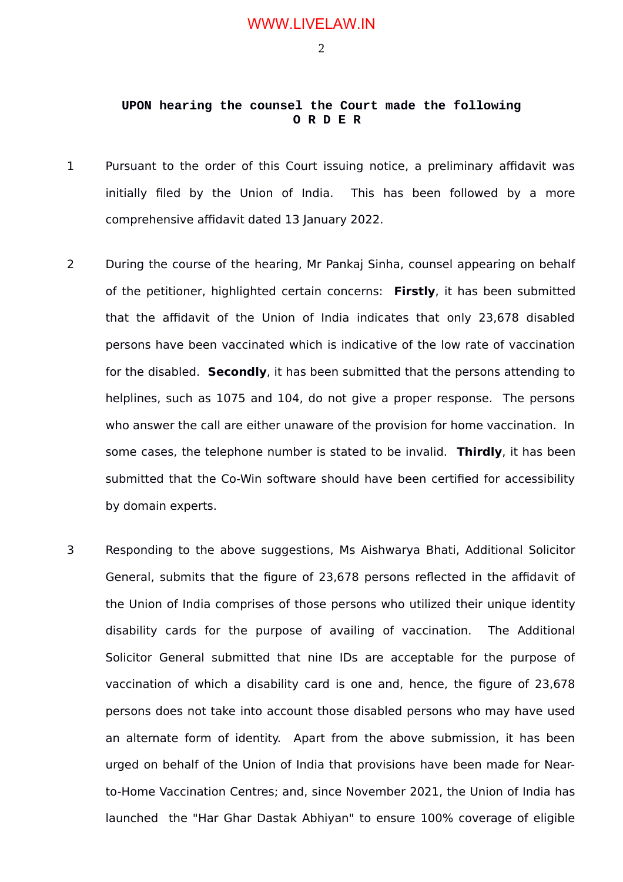2

## **UPON hearing the counsel the Court made the following O R D E R**

- 1 Pursuant to the order of this Court issuing notice, a preliminary affidavit was initially filed by the Union of India. This has been followed by a more comprehensive affidavit dated 13 January 2022.
- 2 During the course of the hearing, Mr Pankaj Sinha, counsel appearing on behalf of the petitioner, highlighted certain concerns: **Firstly**, it has been submitted that the affidavit of the Union of India indicates that only 23,678 disabled persons have been vaccinated which is indicative of the low rate of vaccination for the disabled. **Secondly**, it has been submitted that the persons attending to helplines, such as 1075 and 104, do not give a proper response. The persons who answer the call are either unaware of the provision for home vaccination. In some cases, the telephone number is stated to be invalid. **Thirdly**, it has been submitted that the Co-Win software should have been certified for accessibility by domain experts.
- 3 Responding to the above suggestions, Ms Aishwarya Bhati, Additional Solicitor General, submits that the figure of 23,678 persons reflected in the affidavit of the Union of India comprises of those persons who utilized their unique identity disability cards for the purpose of availing of vaccination. The Additional Solicitor General submitted that nine IDs are acceptable for the purpose of vaccination of which a disability card is one and, hence, the figure of 23,678 persons does not take into account those disabled persons who may have used an alternate form of identity. Apart from the above submission, it has been urged on behalf of the Union of India that provisions have been made for Nearto-Home Vaccination Centres; and, since November 2021, the Union of India has launched the "Har Ghar Dastak Abhiyan" to ensure 100% coverage of eligible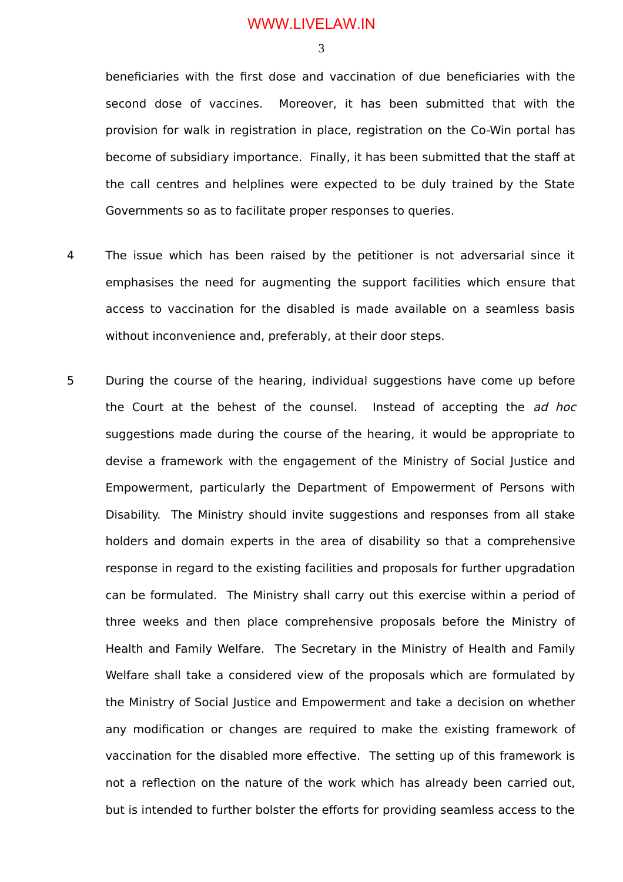## WWW.LIVELAW.IN

3

beneficiaries with the first dose and vaccination of due beneficiaries with the second dose of vaccines. Moreover, it has been submitted that with the provision for walk in registration in place, registration on the Co-Win portal has become of subsidiary importance. Finally, it has been submitted that the staff at the call centres and helplines were expected to be duly trained by the State Governments so as to facilitate proper responses to queries.

- 4 The issue which has been raised by the petitioner is not adversarial since it emphasises the need for augmenting the support facilities which ensure that access to vaccination for the disabled is made available on a seamless basis without inconvenience and, preferably, at their door steps.
- 5 During the course of the hearing, individual suggestions have come up before the Court at the behest of the counsel. Instead of accepting the ad hoc suggestions made during the course of the hearing, it would be appropriate to devise a framework with the engagement of the Ministry of Social Justice and Empowerment, particularly the Department of Empowerment of Persons with Disability. The Ministry should invite suggestions and responses from all stake holders and domain experts in the area of disability so that a comprehensive response in regard to the existing facilities and proposals for further upgradation can be formulated. The Ministry shall carry out this exercise within a period of three weeks and then place comprehensive proposals before the Ministry of Health and Family Welfare. The Secretary in the Ministry of Health and Family Welfare shall take a considered view of the proposals which are formulated by the Ministry of Social Justice and Empowerment and take a decision on whether any modification or changes are required to make the existing framework of vaccination for the disabled more effective. The setting up of this framework is not a reflection on the nature of the work which has already been carried out, but is intended to further bolster the efforts for providing seamless access to the